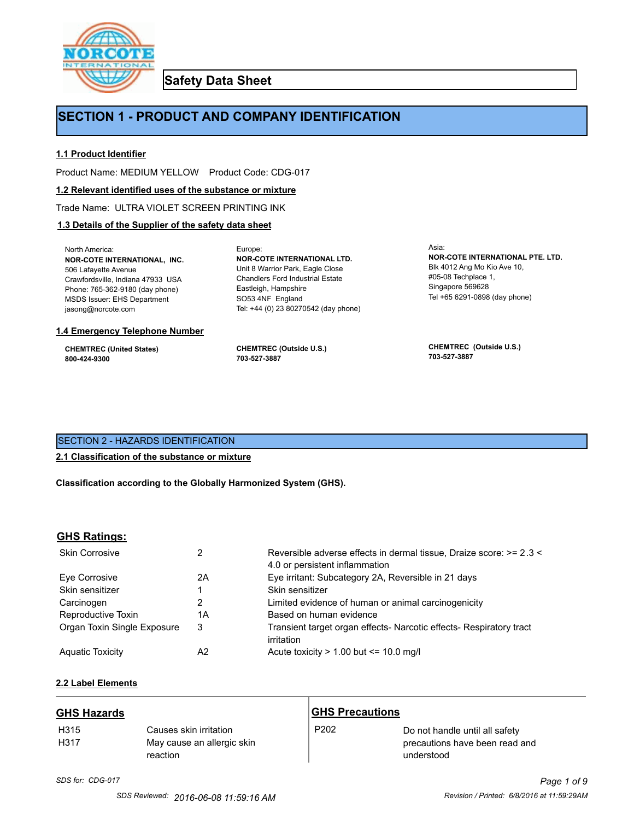

**Safety Data Sheet**

# **SECTION 1 - PRODUCT AND COMPANY IDENTIFICATION**

Europe:

#### **1.1 Product Identifier**

Product Name: MEDIUM YELLOW Product Code: CDG-017

#### **1.2 Relevant identified uses of the substance or mixture**

Trade Name: ULTRA VIOLET SCREEN PRINTING INK

#### **1.3 Details of the Supplier of the safety data sheet**

North America: **NOR-COTE INTERNATIONAL, INC.** 506 Lafayette Avenue Crawfordsville, Indiana 47933 USA Phone: 765-362-9180 (day phone) MSDS Issuer: EHS Department jasong@norcote.com

#### **1.4 Emergency Telephone Number**

**CHEMTREC (United States) 800-424-9300**

**CHEMTREC (Outside U.S.) 703-527-3887**

Eastleigh, Hampshire SO53 4NF England

**NOR-COTE INTERNATIONAL LTD.** Unit 8 Warrior Park, Eagle Close Chandlers Ford Industrial Estate

Tel: +44 (0) 23 80270542 (day phone)

Asia: **NOR-COTE INTERNATIONAL PTE. LTD.** Blk 4012 Ang Mo Kio Ave 10, #05-08 Techplace 1, Singapore 569628 Tel +65 6291-0898 (day phone)

**CHEMTREC (Outside U.S.) 703-527-3887**

# SECTION 2 - HAZARDS IDENTIFICATION

# **2.1 Classification of the substance or mixture**

**Classification according to the Globally Harmonized System (GHS).**

# **GHS Ratings:**

| <b>Skin Corrosive</b>       |    | Reversible adverse effects in dermal tissue, Draize score: >= 2.3 <<br>4.0 or persistent inflammation |  |
|-----------------------------|----|-------------------------------------------------------------------------------------------------------|--|
| Eve Corrosive               | 2Α | Eye irritant: Subcategory 2A, Reversible in 21 days                                                   |  |
| Skin sensitizer             |    | Skin sensitizer                                                                                       |  |
| Carcinogen                  | 2  | Limited evidence of human or animal carcinogenicity                                                   |  |
| Reproductive Toxin          | 1Α | Based on human evidence                                                                               |  |
| Organ Toxin Single Exposure | 3  | Transient target organ effects- Narcotic effects- Respiratory tract<br>irritation                     |  |
| <b>Aguatic Toxicity</b>     | A2 | Acute toxicity $> 1.00$ but $\leq 10.0$ mg/l                                                          |  |

# **2.2 Label Elements**

| <b>GHS Hazards</b>       |                                                                  | <b>GHS Precautions</b> |                                                                                |
|--------------------------|------------------------------------------------------------------|------------------------|--------------------------------------------------------------------------------|
| H <sub>315</sub><br>H317 | Causes skin irritation<br>May cause an allergic skin<br>reaction | P <sub>202</sub>       | Do not handle until all safety<br>precautions have been read and<br>understood |

# *SDS for: CDG-017 Page 1 of 9*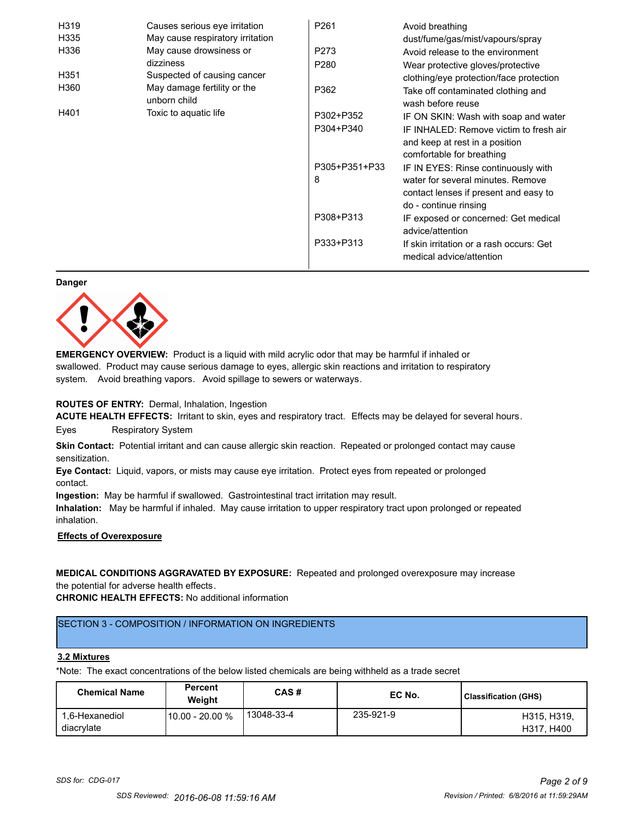| H319 | Causes serious eye irritation               | P <sub>261</sub> | Avoid breathing                                                      |
|------|---------------------------------------------|------------------|----------------------------------------------------------------------|
| H335 | May cause respiratory irritation            |                  | dust/fume/gas/mist/vapours/spray                                     |
| H336 | May cause drowsiness or                     | P273             | Avoid release to the environment                                     |
|      | dizziness                                   | P <sub>280</sub> | Wear protective gloves/protective                                    |
| H351 | Suspected of causing cancer                 |                  | clothing/eye protection/face protection                              |
| H360 | May damage fertility or the<br>unborn child | P362             | Take off contaminated clothing and<br>wash before reuse              |
| H401 | Toxic to aquatic life                       | P302+P352        | IF ON SKIN: Wash with soap and water                                 |
|      |                                             | P304+P340        | IF INHALED: Remove victim to fresh air                               |
|      |                                             |                  | and keep at rest in a position                                       |
|      |                                             |                  | comfortable for breathing                                            |
|      |                                             | P305+P351+P33    | IF IN EYES: Rinse continuously with                                  |
|      |                                             | 8                | water for several minutes. Remove                                    |
|      |                                             |                  | contact lenses if present and easy to                                |
|      |                                             |                  | do - continue rinsing                                                |
|      |                                             | P308+P313        | IF exposed or concerned: Get medical                                 |
|      |                                             |                  | advice/attention                                                     |
|      |                                             | P333+P313        | If skin irritation or a rash occurs: Get<br>medical advice/attention |

#### **Danger**



**EMERGENCY OVERVIEW:** Product is a liquid with mild acrylic odor that may be harmful if inhaled or swallowed. Product may cause serious damage to eyes, allergic skin reactions and irritation to respiratory system. Avoid breathing vapors. Avoid spillage to sewers or waterways.

#### **ROUTES OF ENTRY:** Dermal, Inhalation, Ingestion

**ACUTE HEALTH EFFECTS:** Irritant to skin, eyes and respiratory tract. Effects may be delayed for several hours. Eyes Respiratory System

**Skin Contact:** Potential irritant and can cause allergic skin reaction. Repeated or prolonged contact may cause sensitization.

**Eye Contact:** Liquid, vapors, or mists may cause eye irritation. Protect eyes from repeated or prolonged contact.

**Ingestion:** May be harmful if swallowed. Gastrointestinal tract irritation may result.

**Inhalation:** May be harmful if inhaled. May cause irritation to upper respiratory tract upon prolonged or repeated inhalation.

# **Effects of Overexposure**

**MEDICAL CONDITIONS AGGRAVATED BY EXPOSURE:** Repeated and prolonged overexposure may increase the potential for adverse health effects.

**CHRONIC HEALTH EFFECTS:** No additional information

# SECTION 3 - COMPOSITION / INFORMATION ON INGREDIENTS

#### **3.2 Mixtures**

\*Note: The exact concentrations of the below listed chemicals are being withheld as a trade secret

| <b>Chemical Name</b>         | <b>Percent</b><br>Weiaht | CAS#         | EC No.    | <b>Classification (GHS)</b> |
|------------------------------|--------------------------|--------------|-----------|-----------------------------|
| 1.6-Hexanediol<br>diacrylate | l 10.00 - 20.00 %        | ' 13048-33-4 | 235-921-9 | H315, H319.<br>H317, H400   |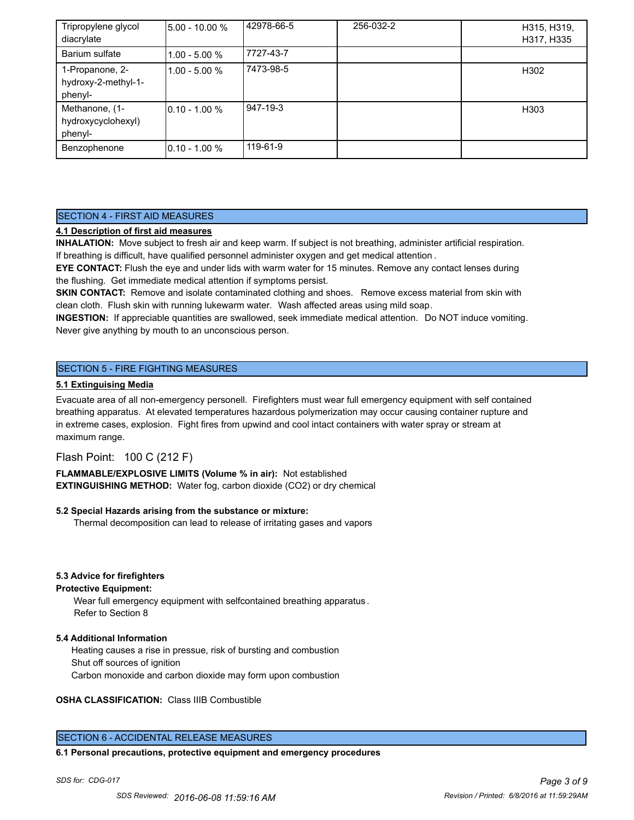| Tripropylene glycol<br>diacrylate                 | 5.00 - 10.00 %  | 42978-66-5 | 256-032-2 | H315, H319,<br>H317, H335 |
|---------------------------------------------------|-----------------|------------|-----------|---------------------------|
| Barium sulfate                                    | $1.00 - 5.00 %$ | 7727-43-7  |           |                           |
| 1-Propanone, 2-<br>hydroxy-2-methyl-1-<br>phenyl- | 1.00 - 5.00 %   | 7473-98-5  |           | H302                      |
| Methanone, (1-<br>hydroxycyclohexyl)<br>phenyl-   | 0.10 - 1.00 %   | 947-19-3   |           | H303                      |
| Benzophenone                                      | l0.10 - 1.00 %  | 119-61-9   |           |                           |

# SECTION 4 - FIRST AID MEASURES

# **4.1 Description of first aid measures**

**INHALATION:** Move subject to fresh air and keep warm. If subject is not breathing, administer artificial respiration. If breathing is difficult, have qualified personnel administer oxygen and get medical attention .

**EYE CONTACT:** Flush the eye and under lids with warm water for 15 minutes. Remove any contact lenses during the flushing. Get immediate medical attention if symptoms persist.

**SKIN CONTACT:** Remove and isolate contaminated clothing and shoes. Remove excess material from skin with clean cloth. Flush skin with running lukewarm water. Wash affected areas using mild soap.

**INGESTION:** If appreciable quantities are swallowed, seek immediate medical attention. Do NOT induce vomiting. Never give anything by mouth to an unconscious person.

# SECTION 5 - FIRE FIGHTING MEASURES

#### **5.1 Extinguising Media**

Evacuate area of all non-emergency personell. Firefighters must wear full emergency equipment with self contained breathing apparatus. At elevated temperatures hazardous polymerization may occur causing container rupture and in extreme cases, explosion. Fight fires from upwind and cool intact containers with water spray or stream at maximum range.

# Flash Point: 100 C (212 F)

**FLAMMABLE/EXPLOSIVE LIMITS (Volume % in air):** Not established **EXTINGUISHING METHOD:** Water fog, carbon dioxide (CO2) or dry chemical

#### **5.2 Special Hazards arising from the substance or mixture:**

Thermal decomposition can lead to release of irritating gases and vapors

#### **5.3 Advice for firefighters**

#### **Protective Equipment:**

Wear full emergency equipment with selfcontained breathing apparatus . Refer to Section 8

# **5.4 Additional Information**

 Heating causes a rise in pressue, risk of bursting and combustion Shut off sources of ignition Carbon monoxide and carbon dioxide may form upon combustion

#### **OSHA CLASSIFICATION:** Class IIIB Combustible

# SECTION 6 - ACCIDENTAL RELEASE MEASURES

#### **6.1 Personal precautions, protective equipment and emergency procedures**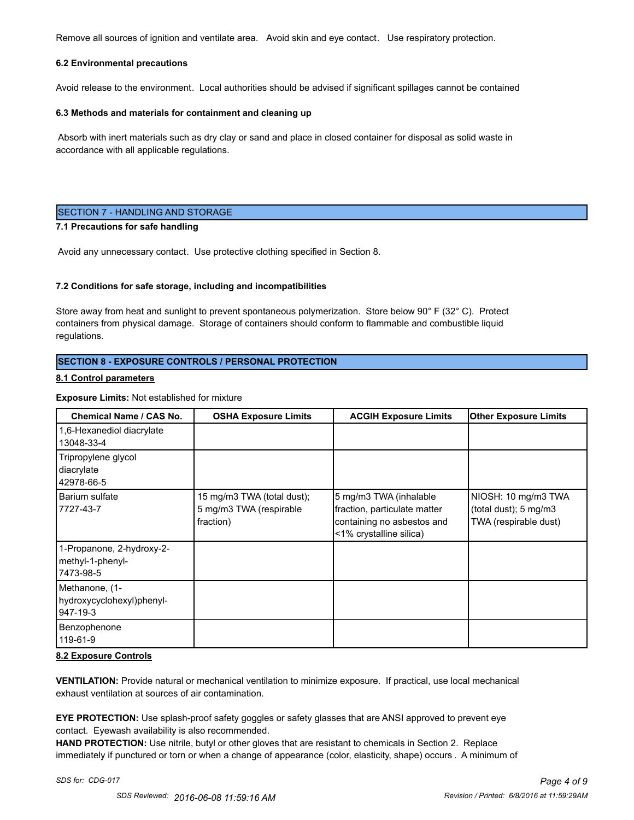Remove all sources of ignition and ventilate area. Avoid skin and eye contact. Use respiratory protection.

#### **6.2 Environmental precautions**

Avoid release to the environment. Local authorities should be advised if significant spillages cannot be contained

#### **6.3 Methods and materials for containment and cleaning up**

 Absorb with inert materials such as dry clay or sand and place in closed container for disposal as solid waste in accordance with all applicable regulations.

#### SECTION 7 - HANDLING AND STORAGE

#### **7.1 Precautions for safe handling**

Avoid any unnecessary contact. Use protective clothing specified in Section 8.

#### **7.2 Conditions for safe storage, including and incompatibilities**

Store away from heat and sunlight to prevent spontaneous polymerization. Store below 90° F (32° C). Protect containers from physical damage. Storage of containers should conform to flammable and combustible liquid regulations.

#### **SECTION 8 - EXPOSURE CONTROLS / PERSONAL PROTECTION**

#### **8.1 Control parameters**

#### **Exposure Limits:** Not established for mixture

| <b>Chemical Name / CAS No.</b>                             | <b>OSHA Exposure Limits</b>                                        | <b>ACGIH Exposure Limits</b>                                                                                    | <b>Other Exposure Limits</b>                                                     |
|------------------------------------------------------------|--------------------------------------------------------------------|-----------------------------------------------------------------------------------------------------------------|----------------------------------------------------------------------------------|
| 1,6-Hexanediol diacrylate<br>13048-33-4                    |                                                                    |                                                                                                                 |                                                                                  |
| Tripropylene glycol<br>diacrylate<br>42978-66-5            |                                                                    |                                                                                                                 |                                                                                  |
| Barium sulfate<br>7727-43-7                                | 15 mg/m3 TWA (total dust);<br>5 mg/m3 TWA (respirable<br>fraction) | 5 mg/m3 TWA (inhalable<br>fraction, particulate matter<br>containing no asbestos and<br><1% crystalline silica) | NIOSH: 10 mg/m3 TWA<br>(total dust); $5 \text{ mg/m}$ 3<br>TWA (respirable dust) |
| 1-Propanone, 2-hydroxy-2-<br>methyl-1-phenyl-<br>7473-98-5 |                                                                    |                                                                                                                 |                                                                                  |
| Methanone, (1-<br>hydroxycyclohexyl)phenyl-<br>947-19-3    |                                                                    |                                                                                                                 |                                                                                  |
| Benzophenone<br>119-61-9                                   |                                                                    |                                                                                                                 |                                                                                  |

#### **8.2 Exposure Controls**

**VENTILATION:** Provide natural or mechanical ventilation to minimize exposure. If practical, use local mechanical exhaust ventilation at sources of air contamination.

**EYE PROTECTION:** Use splash-proof safety goggles or safety glasses that are ANSI approved to prevent eye contact. Eyewash availability is also recommended.

**HAND PROTECTION:** Use nitrile, butyl or other gloves that are resistant to chemicals in Section 2. Replace immediately if punctured or torn or when a change of appearance (color, elasticity, shape) occurs . A minimum of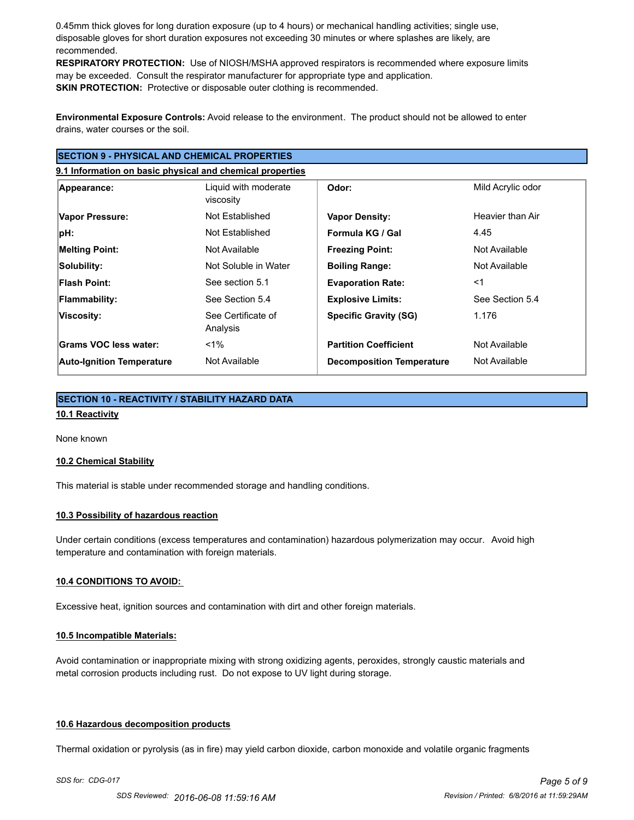0.45mm thick gloves for long duration exposure (up to 4 hours) or mechanical handling activities; single use, disposable gloves for short duration exposures not exceeding 30 minutes or where splashes are likely, are recommended.

**RESPIRATORY PROTECTION:** Use of NIOSH/MSHA approved respirators is recommended where exposure limits may be exceeded. Consult the respirator manufacturer for appropriate type and application. **SKIN PROTECTION:** Protective or disposable outer clothing is recommended.

**Environmental Exposure Controls:** Avoid release to the environment. The product should not be allowed to enter drains, water courses or the soil.

# **SECTION 9 - PHYSICAL AND CHEMICAL PROPERTIES**

**9.1 Information on basic physical and chemical properties**

| Appearance:                      | Liquid with moderate<br>viscosity | Odor:                            | Mild Acrylic odor |
|----------------------------------|-----------------------------------|----------------------------------|-------------------|
| Vapor Pressure:                  | Not Established                   | <b>Vapor Density:</b>            | Heavier than Air  |
| $ pH$ :                          | Not Established                   | Formula KG / Gal                 | 4.45              |
| <b>Melting Point:</b>            | Not Available                     | <b>Freezing Point:</b>           | Not Available     |
| Solubility:                      | Not Soluble in Water              | <b>Boiling Range:</b>            | Not Available     |
| <b>Flash Point:</b>              | See section 5.1                   | <b>Evaporation Rate:</b>         | $<$ 1             |
| <b>Flammability:</b>             | See Section 5.4                   | <b>Explosive Limits:</b>         | See Section 5.4   |
| Viscosity:                       | See Certificate of<br>Analysis    | <b>Specific Gravity (SG)</b>     | 1.176             |
| Grams VOC less water:            | $<$ 1%                            | <b>Partition Coefficient</b>     | Not Available     |
| <b>Auto-Ignition Temperature</b> | Not Available                     | <b>Decomposition Temperature</b> | Not Available     |

# **SECTION 10 - REACTIVITY / STABILITY HAZARD DATA 10.1 Reactivity**

None known

#### **10.2 Chemical Stability**

This material is stable under recommended storage and handling conditions.

#### **10.3 Possibility of hazardous reaction**

Under certain conditions (excess temperatures and contamination) hazardous polymerization may occur. Avoid high temperature and contamination with foreign materials.

#### **10.4 CONDITIONS TO AVOID:**

Excessive heat, ignition sources and contamination with dirt and other foreign materials.

#### **10.5 Incompatible Materials:**

Avoid contamination or inappropriate mixing with strong oxidizing agents, peroxides, strongly caustic materials and metal corrosion products including rust. Do not expose to UV light during storage.

#### **10.6 Hazardous decomposition products**

Thermal oxidation or pyrolysis (as in fire) may yield carbon dioxide, carbon monoxide and volatile organic fragments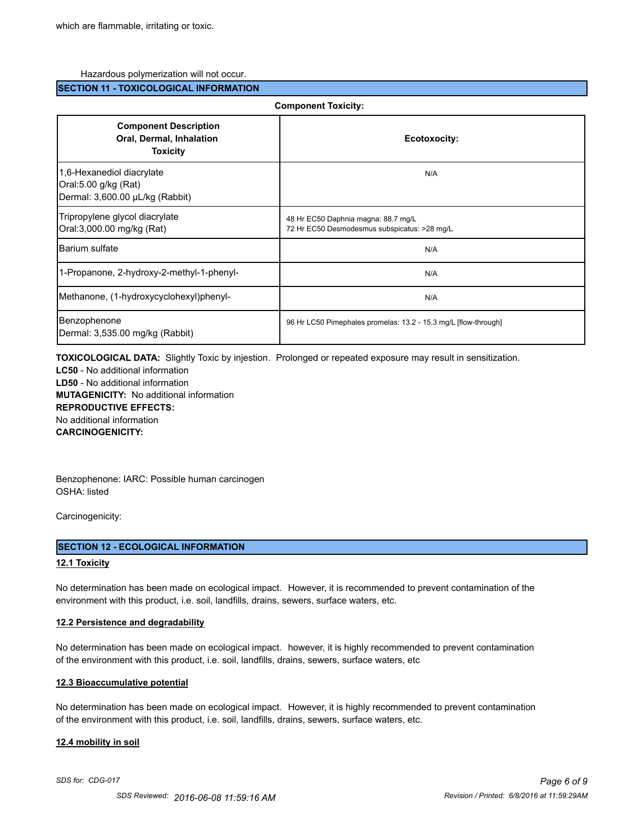#### Hazardous polymerization will not occur.

#### **SECTION 11 - TOXICOLOGICAL INFORMATION**

| <b>Component Toxicity:</b>                                                           |                                                                                     |  |
|--------------------------------------------------------------------------------------|-------------------------------------------------------------------------------------|--|
| <b>Component Description</b><br>Oral, Dermal, Inhalation<br><b>Toxicity</b>          | Ecotoxocity:                                                                        |  |
| 1,6-Hexanediol diacrylate<br>Oral:5.00 g/kg (Rat)<br>Dermal: 3,600.00 µL/kg (Rabbit) | N/A                                                                                 |  |
| Tripropylene glycol diacrylate<br>Oral:3,000.00 mg/kg (Rat)                          | 48 Hr EC50 Daphnia magna: 88.7 mg/L<br>72 Hr EC50 Desmodesmus subspicatus: >28 mg/L |  |
| <b>IBarium sulfate</b>                                                               | N/A                                                                                 |  |
| 1-Propanone, 2-hydroxy-2-methyl-1-phenyl-                                            | N/A                                                                                 |  |
| Methanone, (1-hydroxycyclohexyl)phenyl-                                              | N/A                                                                                 |  |
| Benzophenone<br>Dermal: 3,535.00 mg/kg (Rabbit)                                      | 96 Hr LC50 Pimephales promelas: 13.2 - 15.3 mg/L [flow-through]                     |  |

**TOXICOLOGICAL DATA:** Slightly Toxic by injestion. Prolonged or repeated exposure may result in sensitization.

**LC50** - No additional information **LD50** - No additional information **MUTAGENICITY:** No additional information **REPRODUCTIVE EFFECTS:** No additional information **CARCINOGENICITY:**

Benzophenone: IARC: Possible human carcinogen OSHA: listed

Carcinogenicity:

#### **SECTION 12 - ECOLOGICAL INFORMATION**

#### **12.1 Toxicity**

No determination has been made on ecological impact. However, it is recommended to prevent contamination of the environment with this product, i.e. soil, landfills, drains, sewers, surface waters, etc.

#### **12.2 Persistence and degradability**

No determination has been made on ecological impact. however, it is highly recommended to prevent contamination of the environment with this product, i.e. soil, landfills, drains, sewers, surface waters, etc

#### **12.3 Bioaccumulative potential**

No determination has been made on ecological impact. However, it is highly recommended to prevent contamination of the environment with this product, i.e. soil, landfills, drains, sewers, surface waters, etc.

#### **12.4 mobility in soil**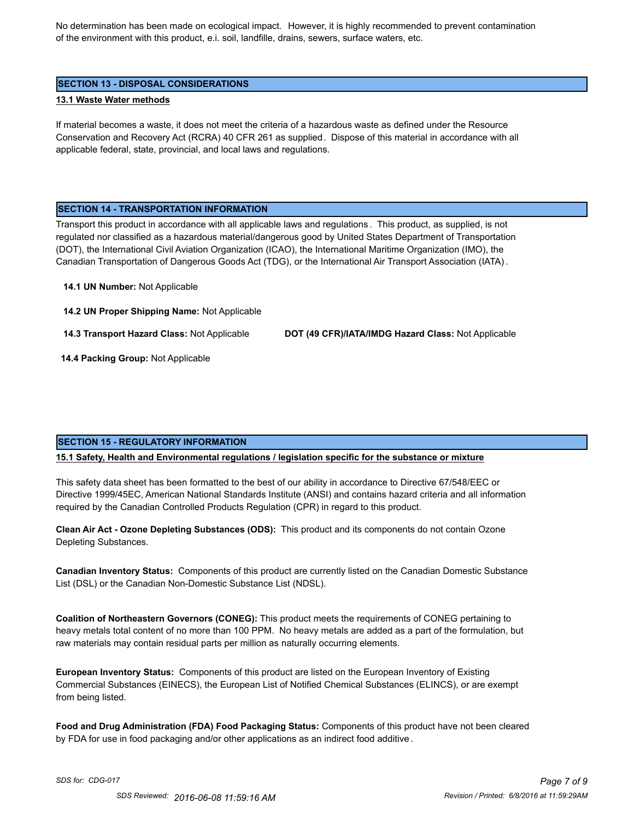No determination has been made on ecological impact. However, it is highly recommended to prevent contamination of the environment with this product, e.i. soil, landfille, drains, sewers, surface waters, etc.

#### **SECTION 13 - DISPOSAL CONSIDERATIONS**

#### **13.1 Waste Water methods**

If material becomes a waste, it does not meet the criteria of a hazardous waste as defined under the Resource Conservation and Recovery Act (RCRA) 40 CFR 261 as supplied. Dispose of this material in accordance with all applicable federal, state, provincial, and local laws and regulations.

#### **SECTION 14 - TRANSPORTATION INFORMATION**

Transport this product in accordance with all applicable laws and regulations . This product, as supplied, is not regulated nor classified as a hazardous material/dangerous good by United States Department of Transportation (DOT), the International Civil Aviation Organization (ICAO), the International Maritime Organization (IMO), the Canadian Transportation of Dangerous Goods Act (TDG), or the International Air Transport Association (IATA) .

#### **14.1 UN Number:** Not Applicable

**14.2 UN Proper Shipping Name:** Not Applicable

**14.3 Transport Hazard Class:** Not Applicable **DOT (49 CFR)/IATA/IMDG Hazard Class:** Not Applicable

 **14.4 Packing Group:** Not Applicable

# **SECTION 15 - REGULATORY INFORMATION**

**15.1 Safety, Health and Environmental regulations / legislation specific for the substance or mixture**

This safety data sheet has been formatted to the best of our ability in accordance to Directive 67/548/EEC or Directive 1999/45EC, American National Standards Institute (ANSI) and contains hazard criteria and all information required by the Canadian Controlled Products Regulation (CPR) in regard to this product.

**Clean Air Act - Ozone Depleting Substances (ODS):** This product and its components do not contain Ozone Depleting Substances.

**Canadian Inventory Status:** Components of this product are currently listed on the Canadian Domestic Substance List (DSL) or the Canadian Non-Domestic Substance List (NDSL).

**Coalition of Northeastern Governors (CONEG):** This product meets the requirements of CONEG pertaining to heavy metals total content of no more than 100 PPM. No heavy metals are added as a part of the formulation, but raw materials may contain residual parts per million as naturally occurring elements.

**European Inventory Status:** Components of this product are listed on the European Inventory of Existing Commercial Substances (EINECS), the European List of Notified Chemical Substances (ELINCS), or are exempt from being listed.

**Food and Drug Administration (FDA) Food Packaging Status:** Components of this product have not been cleared by FDA for use in food packaging and/or other applications as an indirect food additive .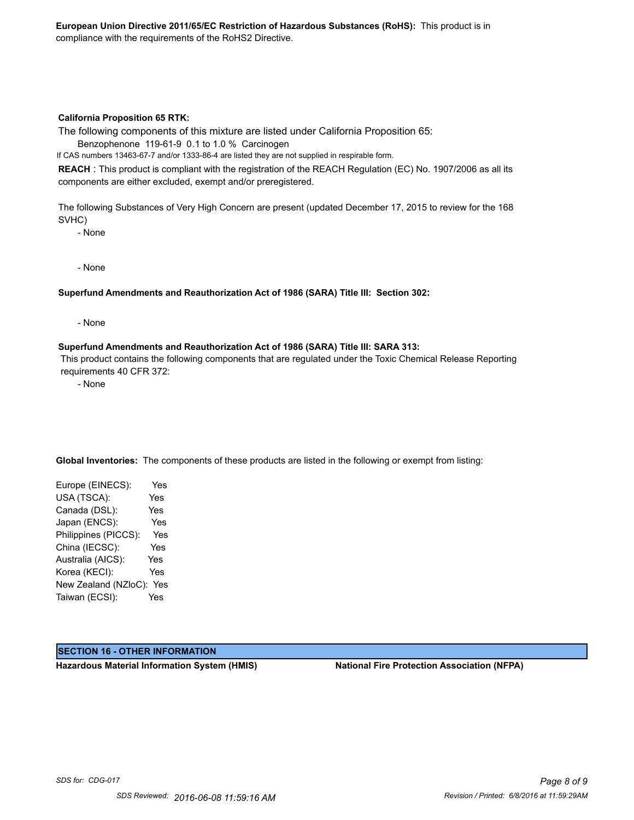#### **California Proposition 65 RTK:**

The following components of this mixture are listed under California Proposition 65:

Benzophenone 119-61-9 0.1 to 1.0 % Carcinogen

If CAS numbers 13463-67-7 and/or 1333-86-4 are listed they are not supplied in respirable form.

**REACH** : This product is compliant with the registration of the REACH Regulation (EC) No. 1907/2006 as all its components are either excluded, exempt and/or preregistered.

The following Substances of Very High Concern are present (updated December 17, 2015 to review for the 168 SVHC)

- None

- None

#### **Superfund Amendments and Reauthorization Act of 1986 (SARA) Title III: Section 302:**

- None

#### **Superfund Amendments and Reauthorization Act of 1986 (SARA) Title III: SARA 313:**

 This product contains the following components that are regulated under the Toxic Chemical Release Reporting requirements 40 CFR 372:

- None

**Global Inventories:** The components of these products are listed in the following or exempt from listing:

Europe (EINECS): Yes USA (TSCA): Yes Canada (DSL): Yes Japan (ENCS): Yes Philippines (PICCS): Yes China (IECSC): Yes Australia (AICS): Yes Korea (KECI): Yes New Zealand (NZloC): Yes Taiwan (ECSI): Yes

# **SECTION 16 - OTHER INFORMATION**

**Hazardous Material Information System (HMIS) National Fire Protection Association (NFPA)**